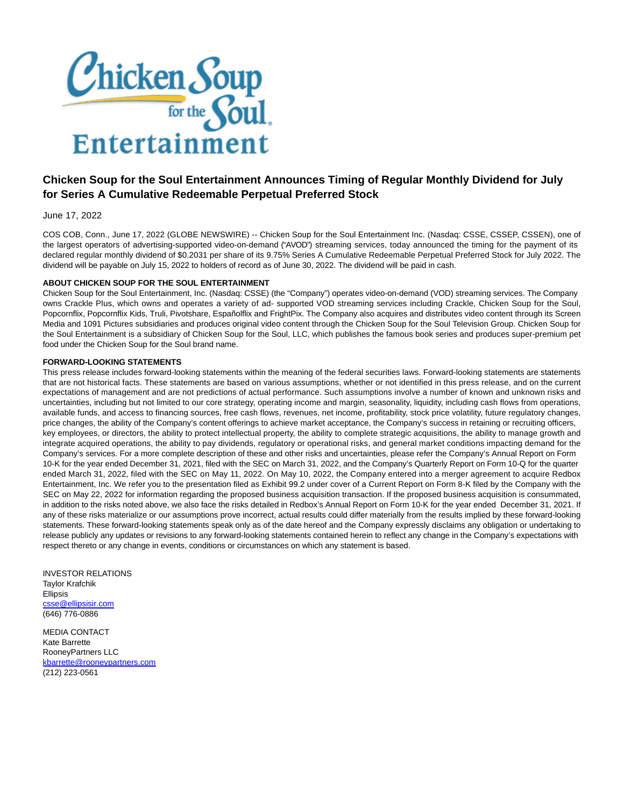

## **Chicken Soup for the Soul Entertainment Announces Timing of Regular Monthly Dividend for July for Series A Cumulative Redeemable Perpetual Preferred Stock**

## June 17, 2022

COS COB, Conn., June 17, 2022 (GLOBE NEWSWIRE) -- Chicken Soup for the Soul Entertainment Inc. (Nasdaq: CSSE, CSSEP, CSSEN), one of the largest operators of advertising-supported video-on-demand ("AVOD") streaming services, today announced the timing for the payment of its declared regular monthly dividend of \$0.2031 per share of its 9.75% Series A Cumulative Redeemable Perpetual Preferred Stock for July 2022. The dividend will be payable on July 15, 2022 to holders of record as of June 30, 2022. The dividend will be paid in cash.

## **ABOUT CHICKEN SOUP FOR THE SOUL ENTERTAINMENT**

Chicken Soup for the Soul Entertainment, Inc. (Nasdaq: CSSE) (the "Company") operates video-on-demand (VOD) streaming services. The Company owns Crackle Plus, which owns and operates a variety of ad- supported VOD streaming services including Crackle, Chicken Soup for the Soul, Popcornflix, Popcornflix Kids, Truli, Pivotshare, Españolflix and FrightPix. The Company also acquires and distributes video content through its Screen Media and 1091 Pictures subsidiaries and produces original video content through the Chicken Soup for the Soul Television Group. Chicken Soup for the Soul Entertainment is a subsidiary of Chicken Soup for the Soul, LLC, which publishes the famous book series and produces super-premium pet food under the Chicken Soup for the Soul brand name.

## **FORWARD-LOOKING STATEMENTS**

This press release includes forward-looking statements within the meaning of the federal securities laws. Forward-looking statements are statements that are not historical facts. These statements are based on various assumptions, whether or not identified in this press release, and on the current expectations of management and are not predictions of actual performance. Such assumptions involve a number of known and unknown risks and uncertainties, including but not limited to our core strategy, operating income and margin, seasonality, liquidity, including cash flows from operations, available funds, and access to financing sources, free cash flows, revenues, net income, profitability, stock price volatility, future regulatory changes, price changes, the ability of the Company's content offerings to achieve market acceptance, the Company's success in retaining or recruiting officers, key employees, or directors, the ability to protect intellectual property, the ability to complete strategic acquisitions, the ability to manage growth and integrate acquired operations, the ability to pay dividends, regulatory or operational risks, and general market conditions impacting demand for the Company's services. For a more complete description of these and other risks and uncertainties, please refer the Company's Annual Report on Form 10-K for the year ended December 31, 2021, filed with the SEC on March 31, 2022, and the Company's Quarterly Report on Form 10-Q for the quarter ended March 31, 2022, filed with the SEC on May 11, 2022. On May 10, 2022, the Company entered into a merger agreement to acquire Redbox Entertainment, Inc. We refer you to the presentation filed as Exhibit 99.2 under cover of a Current Report on Form 8-K filed by the Company with the SEC on May 22, 2022 for information regarding the proposed business acquisition transaction. If the proposed business acquisition is consummated, in addition to the risks noted above, we also face the risks detailed in Redbox's Annual Report on Form 10-K for the year ended December 31, 2021. If any of these risks materialize or our assumptions prove incorrect, actual results could differ materially from the results implied by these forward-looking statements. These forward-looking statements speak only as of the date hereof and the Company expressly disclaims any obligation or undertaking to release publicly any updates or revisions to any forward-looking statements contained herein to reflect any change in the Company's expectations with respect thereto or any change in events, conditions or circumstances on which any statement is based.

INVESTOR RELATIONS Taylor Krafchik Ellipsis [csse@ellipsisir.com](https://www.globenewswire.com/Tracker?data=UYlPERtrIwqRSAJrbu3Qld0J8eEUac3NE98-IRGNaBM-PjZKCFa6snh7ybVZacM1nPrKeqBWfSZq7gEpCFiKv6y8GqCmPizrkjvuYoD2DL0=) (646) 776-0886

MEDIA CONTACT Kate Barrette RooneyPartners LLC [kbarrette@rooneypartners.com](https://www.globenewswire.com/Tracker?data=OOH7sSAaG_11loRPd1-2Ue7w4aELAxDdJ43gqEPQfnU2RK4G2e_U16O-6ILbqdCxNriLUFcSFfGx5_igBUFEjG-hUHrJWAiu5wL6ekVTjBRHMQcmT8KthqGrbA86Gl_B) (212) 223-0561